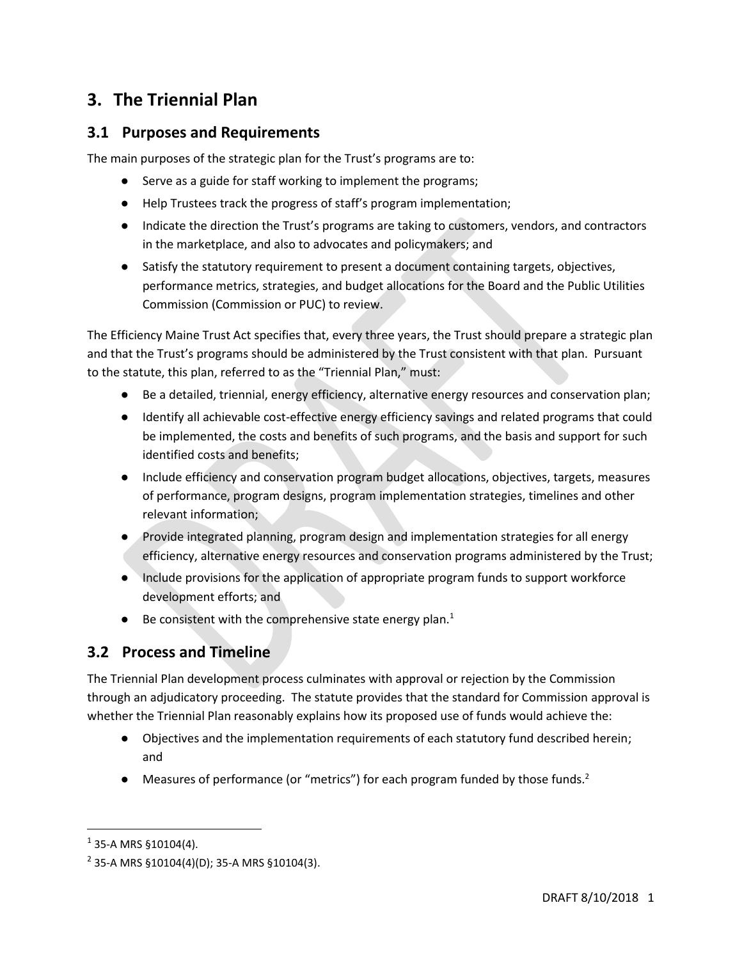# **3. The Triennial Plan**

## **3.1 Purposes and Requirements**

The main purposes of the strategic plan for the Trust's programs are to:

- Serve as a guide for staff working to implement the programs;
- Help Trustees track the progress of staff's program implementation;
- Indicate the direction the Trust's programs are taking to customers, vendors, and contractors in the marketplace, and also to advocates and policymakers; and
- Satisfy the statutory requirement to present a document containing targets, objectives, performance metrics, strategies, and budget allocations for the Board and the Public Utilities Commission (Commission or PUC) to review.

The Efficiency Maine Trust Act specifies that, every three years, the Trust should prepare a strategic plan and that the Trust's programs should be administered by the Trust consistent with that plan. Pursuant to the statute, this plan, referred to as the "Triennial Plan," must:

- Be a detailed, triennial, energy efficiency, alternative energy resources and conservation plan;
- Identify all achievable cost-effective energy efficiency savings and related programs that could be implemented, the costs and benefits of such programs, and the basis and support for such identified costs and benefits;
- Include efficiency and conservation program budget allocations, objectives, targets, measures of performance, program designs, program implementation strategies, timelines and other relevant information;
- Provide integrated planning, program design and implementation strategies for all energy efficiency, alternative energy resources and conservation programs administered by the Trust;
- Include provisions for the application of appropriate program funds to support workforce development efforts; and
- $\bullet$  Be consistent with the comprehensive state energy plan.<sup>1</sup>

## **3.2 Process and Timeline**

The Triennial Plan development process culminates with approval or rejection by the Commission through an adjudicatory proceeding. The statute provides that the standard for Commission approval is whether the Triennial Plan reasonably explains how its proposed use of funds would achieve the:

- Objectives and the implementation requirements of each statutory fund described herein; and
- Measures of performance (or "metrics") for each program funded by those funds.<sup>2</sup>

l

 $1$  35-A MRS §10104(4).

 $2$  35-A MRS §10104(4)(D); 35-A MRS §10104(3).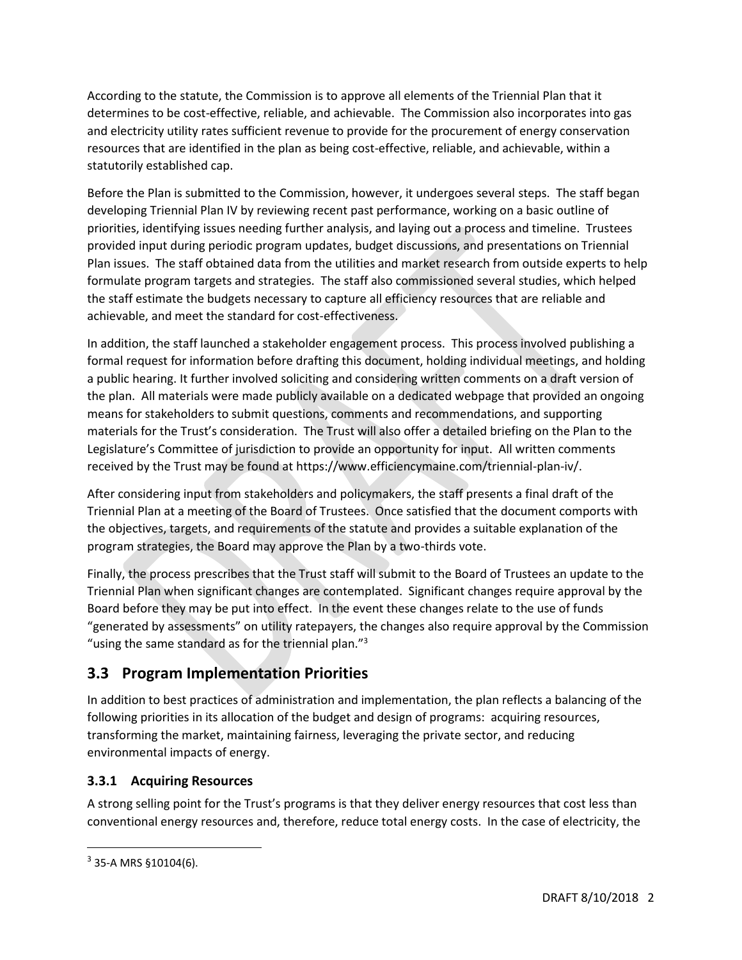According to the statute, the Commission is to approve all elements of the Triennial Plan that it determines to be cost-effective, reliable, and achievable. The Commission also incorporates into gas and electricity utility rates sufficient revenue to provide for the procurement of energy conservation resources that are identified in the plan as being cost-effective, reliable, and achievable, within a statutorily established cap.

Before the Plan is submitted to the Commission, however, it undergoes several steps. The staff began developing Triennial Plan IV by reviewing recent past performance, working on a basic outline of priorities, identifying issues needing further analysis, and laying out a process and timeline. Trustees provided input during periodic program updates, budget discussions, and presentations on Triennial Plan issues. The staff obtained data from the utilities and market research from outside experts to help formulate program targets and strategies. The staff also commissioned several studies, which helped the staff estimate the budgets necessary to capture all efficiency resources that are reliable and achievable, and meet the standard for cost-effectiveness.

In addition, the staff launched a stakeholder engagement process. This process involved publishing a formal request for information before drafting this document, holding individual meetings, and holding a public hearing. It further involved soliciting and considering written comments on a draft version of the plan. All materials were made publicly available on a dedicated webpage that provided an ongoing means for stakeholders to submit questions, comments and recommendations, and supporting materials for the Trust's consideration. The Trust will also offer a detailed briefing on the Plan to the Legislature's Committee of jurisdiction to provide an opportunity for input. All written comments received by the Trust may be found at https://www.efficiencymaine.com/triennial-plan-iv/.

After considering input from stakeholders and policymakers, the staff presents a final draft of the Triennial Plan at a meeting of the Board of Trustees. Once satisfied that the document comports with the objectives, targets, and requirements of the statute and provides a suitable explanation of the program strategies, the Board may approve the Plan by a two-thirds vote.

Finally, the process prescribes that the Trust staff will submit to the Board of Trustees an update to the Triennial Plan when significant changes are contemplated. Significant changes require approval by the Board before they may be put into effect. In the event these changes relate to the use of funds "generated by assessments" on utility ratepayers, the changes also require approval by the Commission "using the same standard as for the triennial plan."<sup>3</sup>

## **3.3 Program Implementation Priorities**

In addition to best practices of administration and implementation, the plan reflects a balancing of the following priorities in its allocation of the budget and design of programs: acquiring resources, transforming the market, maintaining fairness, leveraging the private sector, and reducing environmental impacts of energy.

### **3.3.1 Acquiring Resources**

A strong selling point for the Trust's programs is that they deliver energy resources that cost less than conventional energy resources and, therefore, reduce total energy costs. In the case of electricity, the

l

 $3$  35-A MRS  $$10104(6)$ .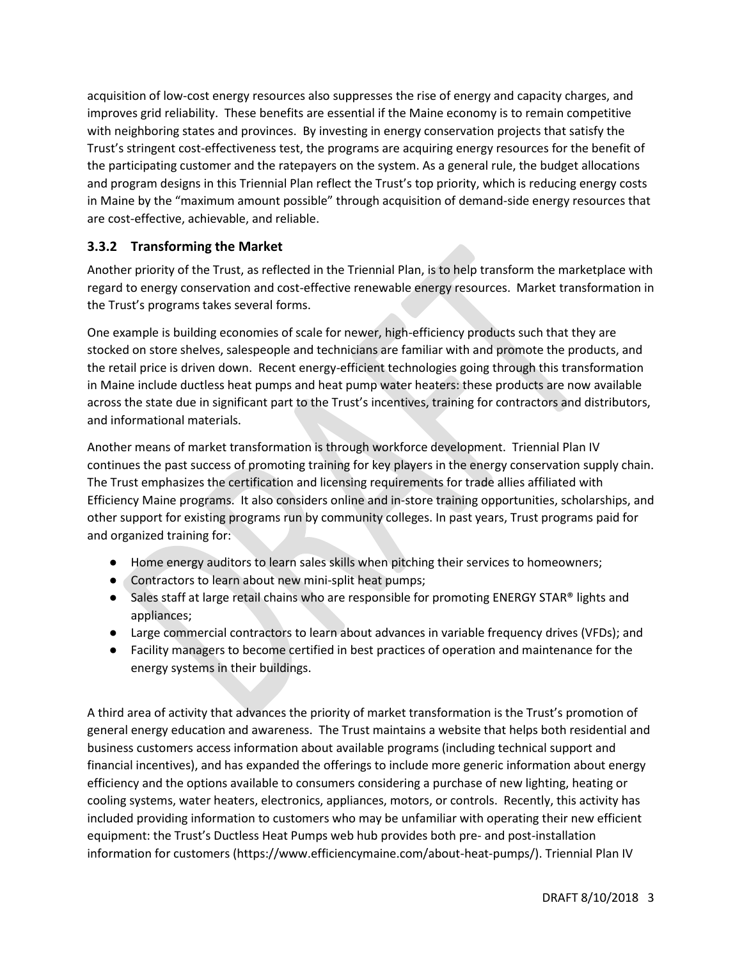acquisition of low-cost energy resources also suppresses the rise of energy and capacity charges, and improves grid reliability. These benefits are essential if the Maine economy is to remain competitive with neighboring states and provinces. By investing in energy conservation projects that satisfy the Trust's stringent cost-effectiveness test, the programs are acquiring energy resources for the benefit of the participating customer and the ratepayers on the system. As a general rule, the budget allocations and program designs in this Triennial Plan reflect the Trust's top priority, which is reducing energy costs in Maine by the "maximum amount possible" through acquisition of demand-side energy resources that are cost-effective, achievable, and reliable.

### **3.3.2 Transforming the Market**

Another priority of the Trust, as reflected in the Triennial Plan, is to help transform the marketplace with regard to energy conservation and cost-effective renewable energy resources. Market transformation in the Trust's programs takes several forms.

One example is building economies of scale for newer, high-efficiency products such that they are stocked on store shelves, salespeople and technicians are familiar with and promote the products, and the retail price is driven down. Recent energy-efficient technologies going through this transformation in Maine include ductless heat pumps and heat pump water heaters: these products are now available across the state due in significant part to the Trust's incentives, training for contractors and distributors, and informational materials.

Another means of market transformation is through workforce development. Triennial Plan IV continues the past success of promoting training for key players in the energy conservation supply chain. The Trust emphasizes the certification and licensing requirements for trade allies affiliated with Efficiency Maine programs. It also considers online and in-store training opportunities, scholarships, and other support for existing programs run by community colleges. In past years, Trust programs paid for and organized training for:

- Home energy auditors to learn sales skills when pitching their services to homeowners;
- Contractors to learn about new mini-split heat pumps;
- Sales staff at large retail chains who are responsible for promoting ENERGY STAR<sup>®</sup> lights and appliances;
- Large commercial contractors to learn about advances in variable frequency drives (VFDs); and
- Facility managers to become certified in best practices of operation and maintenance for the energy systems in their buildings.

A third area of activity that advances the priority of market transformation is the Trust's promotion of general energy education and awareness. The Trust maintains a website that helps both residential and business customers access information about available programs (including technical support and financial incentives), and has expanded the offerings to include more generic information about energy efficiency and the options available to consumers considering a purchase of new lighting, heating or cooling systems, water heaters, electronics, appliances, motors, or controls. Recently, this activity has included providing information to customers who may be unfamiliar with operating their new efficient equipment: the Trust's Ductless Heat Pumps web hub provides both pre- and post-installation information for customers (https://www.efficiencymaine.com/about-heat-pumps/). Triennial Plan IV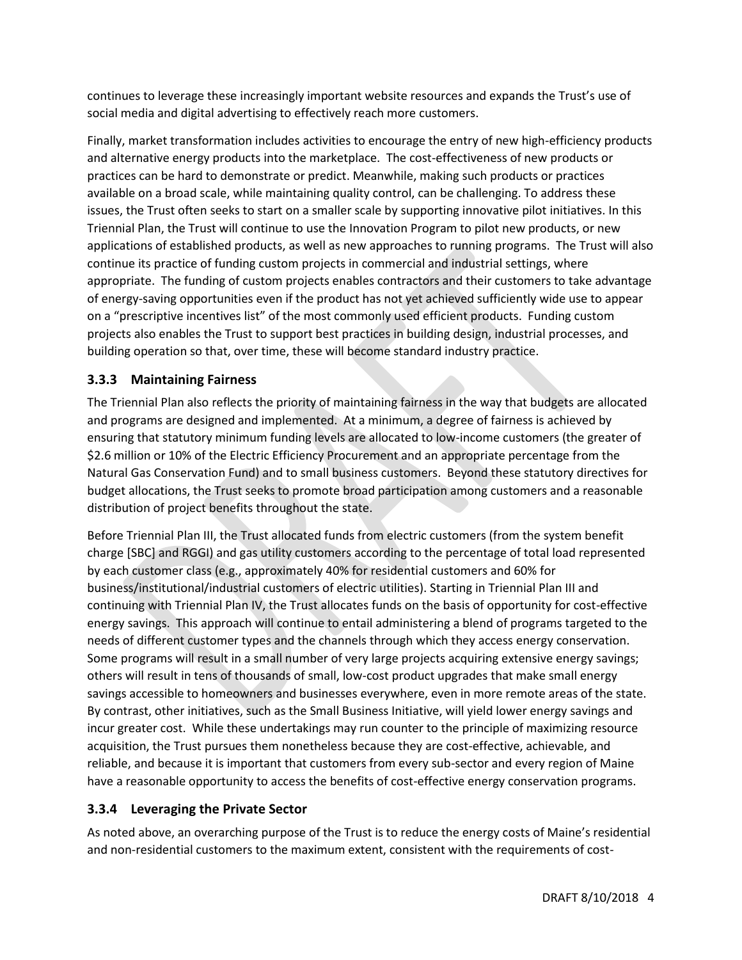continues to leverage these increasingly important website resources and expands the Trust's use of social media and digital advertising to effectively reach more customers.

Finally, market transformation includes activities to encourage the entry of new high-efficiency products and alternative energy products into the marketplace. The cost-effectiveness of new products or practices can be hard to demonstrate or predict. Meanwhile, making such products or practices available on a broad scale, while maintaining quality control, can be challenging. To address these issues, the Trust often seeks to start on a smaller scale by supporting innovative pilot initiatives. In this Triennial Plan, the Trust will continue to use the Innovation Program to pilot new products, or new applications of established products, as well as new approaches to running programs. The Trust will also continue its practice of funding custom projects in commercial and industrial settings, where appropriate. The funding of custom projects enables contractors and their customers to take advantage of energy-saving opportunities even if the product has not yet achieved sufficiently wide use to appear on a "prescriptive incentives list" of the most commonly used efficient products. Funding custom projects also enables the Trust to support best practices in building design, industrial processes, and building operation so that, over time, these will become standard industry practice.

#### **3.3.3 Maintaining Fairness**

The Triennial Plan also reflects the priority of maintaining fairness in the way that budgets are allocated and programs are designed and implemented. At a minimum, a degree of fairness is achieved by ensuring that statutory minimum funding levels are allocated to low-income customers (the greater of \$2.6 million or 10% of the Electric Efficiency Procurement and an appropriate percentage from the Natural Gas Conservation Fund) and to small business customers. Beyond these statutory directives for budget allocations, the Trust seeks to promote broad participation among customers and a reasonable distribution of project benefits throughout the state.

Before Triennial Plan III, the Trust allocated funds from electric customers (from the system benefit charge [SBC] and RGGI) and gas utility customers according to the percentage of total load represented by each customer class (e.g., approximately 40% for residential customers and 60% for business/institutional/industrial customers of electric utilities). Starting in Triennial Plan III and continuing with Triennial Plan IV, the Trust allocates funds on the basis of opportunity for cost-effective energy savings. This approach will continue to entail administering a blend of programs targeted to the needs of different customer types and the channels through which they access energy conservation. Some programs will result in a small number of very large projects acquiring extensive energy savings; others will result in tens of thousands of small, low-cost product upgrades that make small energy savings accessible to homeowners and businesses everywhere, even in more remote areas of the state. By contrast, other initiatives, such as the Small Business Initiative, will yield lower energy savings and incur greater cost. While these undertakings may run counter to the principle of maximizing resource acquisition, the Trust pursues them nonetheless because they are cost-effective, achievable, and reliable, and because it is important that customers from every sub-sector and every region of Maine have a reasonable opportunity to access the benefits of cost-effective energy conservation programs.

#### **3.3.4 Leveraging the Private Sector**

As noted above, an overarching purpose of the Trust is to reduce the energy costs of Maine's residential and non-residential customers to the maximum extent, consistent with the requirements of cost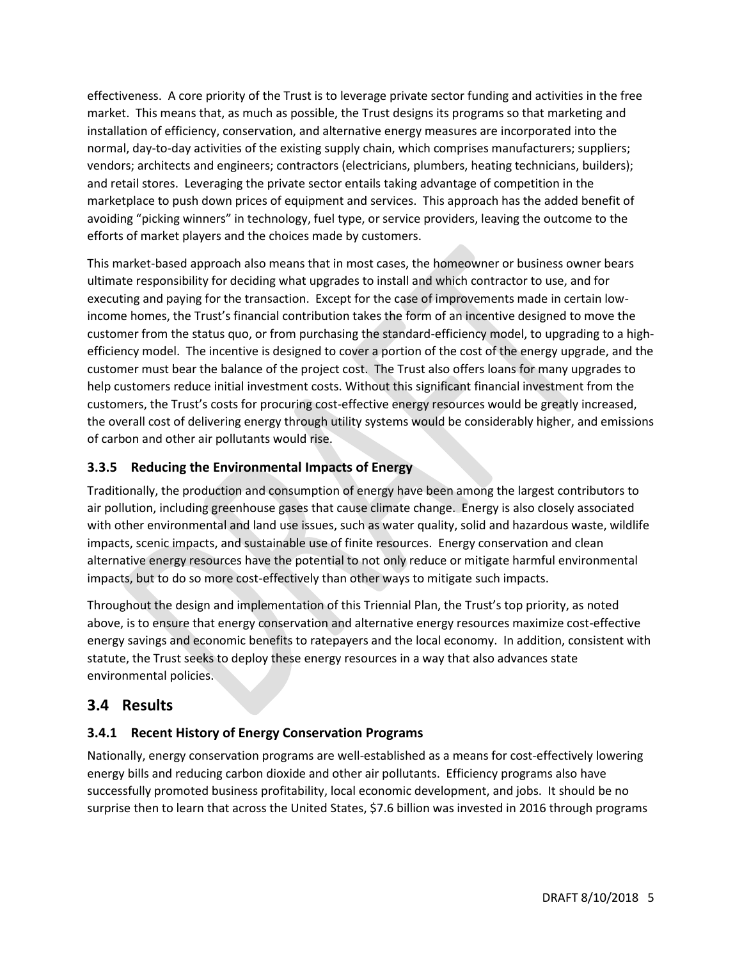effectiveness. A core priority of the Trust is to leverage private sector funding and activities in the free market. This means that, as much as possible, the Trust designs its programs so that marketing and installation of efficiency, conservation, and alternative energy measures are incorporated into the normal, day-to-day activities of the existing supply chain, which comprises manufacturers; suppliers; vendors; architects and engineers; contractors (electricians, plumbers, heating technicians, builders); and retail stores. Leveraging the private sector entails taking advantage of competition in the marketplace to push down prices of equipment and services. This approach has the added benefit of avoiding "picking winners" in technology, fuel type, or service providers, leaving the outcome to the efforts of market players and the choices made by customers.

This market-based approach also means that in most cases, the homeowner or business owner bears ultimate responsibility for deciding what upgrades to install and which contractor to use, and for executing and paying for the transaction. Except for the case of improvements made in certain lowincome homes, the Trust's financial contribution takes the form of an incentive designed to move the customer from the status quo, or from purchasing the standard-efficiency model, to upgrading to a highefficiency model. The incentive is designed to cover a portion of the cost of the energy upgrade, and the customer must bear the balance of the project cost. The Trust also offers loans for many upgrades to help customers reduce initial investment costs. Without this significant financial investment from the customers, the Trust's costs for procuring cost-effective energy resources would be greatly increased, the overall cost of delivering energy through utility systems would be considerably higher, and emissions of carbon and other air pollutants would rise.

### **3.3.5 Reducing the Environmental Impacts of Energy**

Traditionally, the production and consumption of energy have been among the largest contributors to air pollution, including greenhouse gases that cause climate change. Energy is also closely associated with other environmental and land use issues, such as water quality, solid and hazardous waste, wildlife impacts, scenic impacts, and sustainable use of finite resources. Energy conservation and clean alternative energy resources have the potential to not only reduce or mitigate harmful environmental impacts, but to do so more cost-effectively than other ways to mitigate such impacts.

Throughout the design and implementation of this Triennial Plan, the Trust's top priority, as noted above, is to ensure that energy conservation and alternative energy resources maximize cost-effective energy savings and economic benefits to ratepayers and the local economy. In addition, consistent with statute, the Trust seeks to deploy these energy resources in a way that also advances state environmental policies.

## **3.4 Results**

### **3.4.1 Recent History of Energy Conservation Programs**

Nationally, energy conservation programs are well-established as a means for cost-effectively lowering energy bills and reducing carbon dioxide and other air pollutants. Efficiency programs also have successfully promoted business profitability, local economic development, and jobs. It should be no surprise then to learn that across the United States, \$7.6 billion was invested in 2016 through programs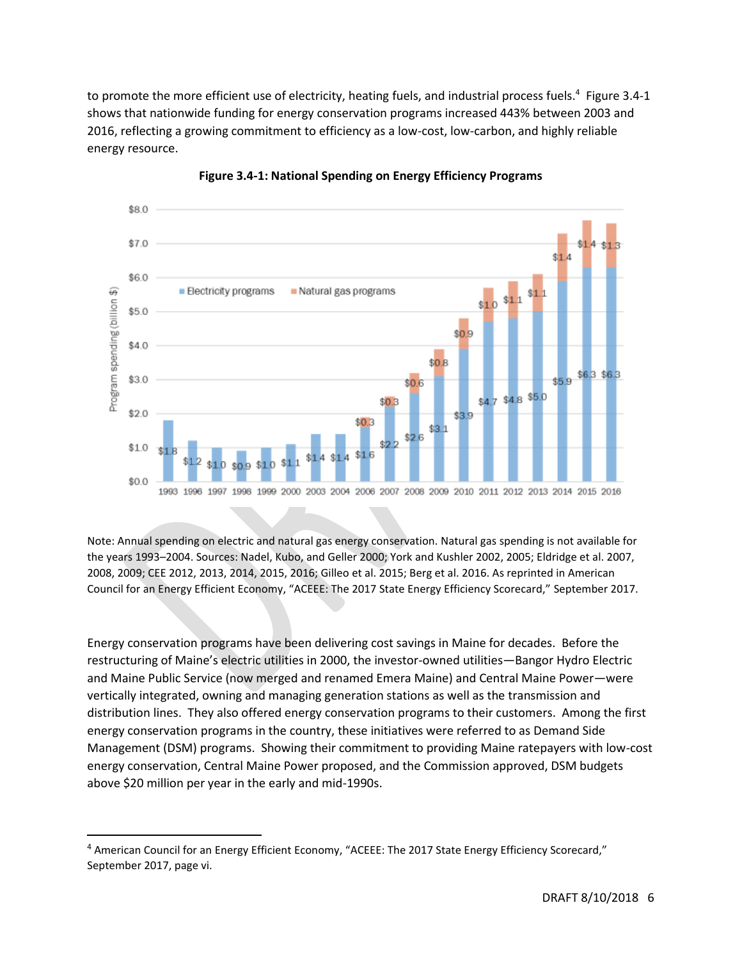to promote the more efficient use of electricity, heating fuels, and industrial process fuels.<sup>4</sup> Figure 3.4-1 shows that nationwide funding for energy conservation programs increased 443% between 2003 and 2016, reflecting a growing commitment to efficiency as a low-cost, low-carbon, and highly reliable energy resource.



**Figure 3.4-1: National Spending on Energy Efficiency Programs**

Note: Annual spending on electric and natural gas energy conservation. Natural gas spending is not available for the years 1993–2004. Sources: Nadel, Kubo, and Geller 2000; York and Kushler 2002, 2005; Eldridge et al. 2007, 2008, 2009; CEE 2012, 2013, 2014, 2015, 2016; Gilleo et al. 2015; Berg et al. 2016. As reprinted in American Council for an Energy Efficient Economy, "ACEEE: The 2017 State Energy Efficiency Scorecard," September 2017.

Energy conservation programs have been delivering cost savings in Maine for decades. Before the restructuring of Maine's electric utilities in 2000, the investor-owned utilities—Bangor Hydro Electric and Maine Public Service (now merged and renamed Emera Maine) and Central Maine Power—were vertically integrated, owning and managing generation stations as well as the transmission and distribution lines. They also offered energy conservation programs to their customers. Among the first energy conservation programs in the country, these initiatives were referred to as Demand Side Management (DSM) programs. Showing their commitment to providing Maine ratepayers with low-cost energy conservation, Central Maine Power proposed, and the Commission approved, DSM budgets above \$20 million per year in the early and mid-1990s.

 $\overline{a}$ 

<sup>&</sup>lt;sup>4</sup> American Council for an Energy Efficient Economy, "ACEEE: The 2017 State Energy Efficiency Scorecard," September 2017, page vi.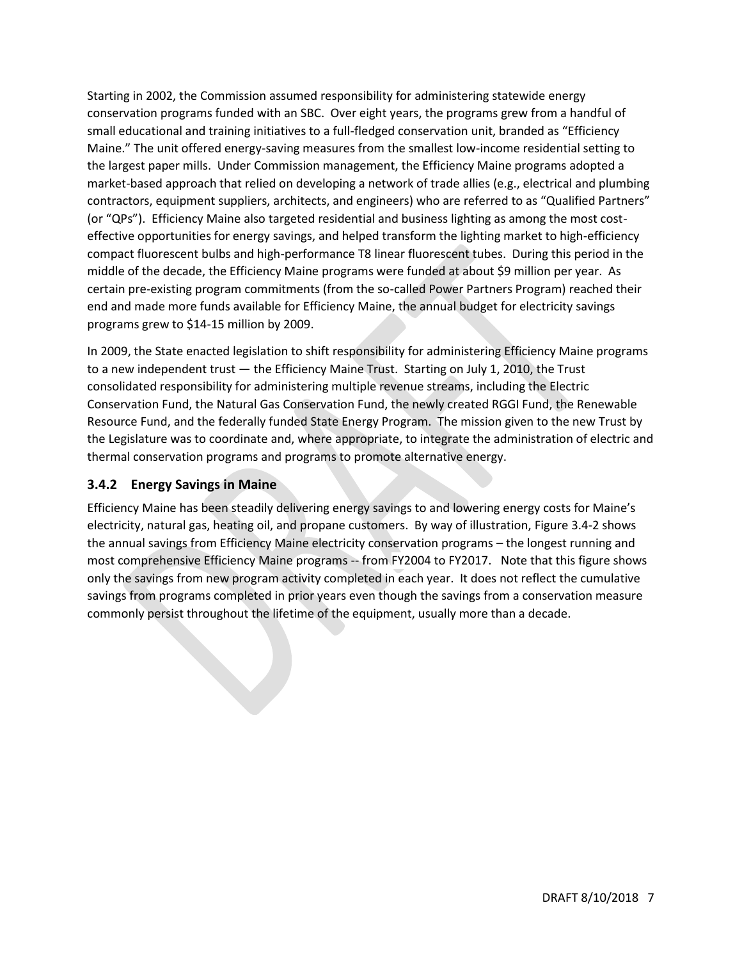Starting in 2002, the Commission assumed responsibility for administering statewide energy conservation programs funded with an SBC. Over eight years, the programs grew from a handful of small educational and training initiatives to a full-fledged conservation unit, branded as "Efficiency Maine." The unit offered energy-saving measures from the smallest low-income residential setting to the largest paper mills. Under Commission management, the Efficiency Maine programs adopted a market-based approach that relied on developing a network of trade allies (e.g., electrical and plumbing contractors, equipment suppliers, architects, and engineers) who are referred to as "Qualified Partners" (or "QPs"). Efficiency Maine also targeted residential and business lighting as among the most costeffective opportunities for energy savings, and helped transform the lighting market to high-efficiency compact fluorescent bulbs and high-performance T8 linear fluorescent tubes. During this period in the middle of the decade, the Efficiency Maine programs were funded at about \$9 million per year. As certain pre-existing program commitments (from the so-called Power Partners Program) reached their end and made more funds available for Efficiency Maine, the annual budget for electricity savings programs grew to \$14-15 million by 2009.

In 2009, the State enacted legislation to shift responsibility for administering Efficiency Maine programs to a new independent trust — the Efficiency Maine Trust. Starting on July 1, 2010, the Trust consolidated responsibility for administering multiple revenue streams, including the Electric Conservation Fund, the Natural Gas Conservation Fund, the newly created RGGI Fund, the Renewable Resource Fund, and the federally funded State Energy Program. The mission given to the new Trust by the Legislature was to coordinate and, where appropriate, to integrate the administration of electric and thermal conservation programs and programs to promote alternative energy.

#### **3.4.2 Energy Savings in Maine**

Efficiency Maine has been steadily delivering energy savings to and lowering energy costs for Maine's electricity, natural gas, heating oil, and propane customers. By way of illustration, [Figure 3](#page-7-0).4-2 shows the annual savings from Efficiency Maine electricity conservation programs – the longest running and most comprehensive Efficiency Maine programs -- from FY2004 to FY2017. Note that this figure shows only the savings from new program activity completed in each year. It does not reflect the cumulative savings from programs completed in prior years even though the savings from a conservation measure commonly persist throughout the lifetime of the equipment, usually more than a decade.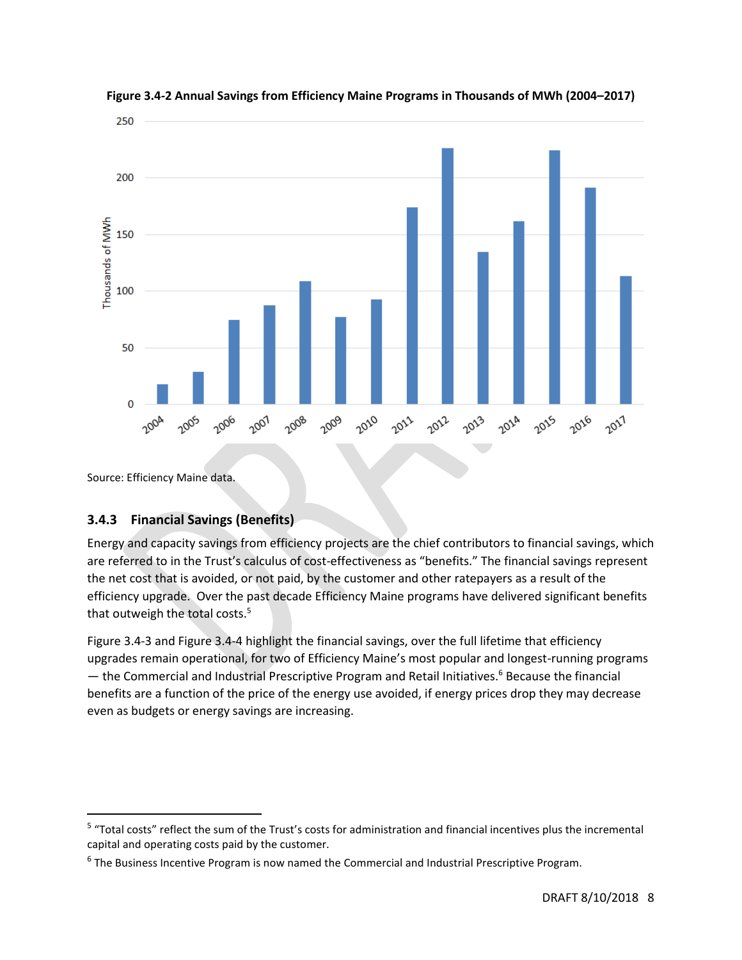

<span id="page-7-0"></span>

Source: Efficiency Maine data.

 $\overline{\phantom{a}}$ 

### **3.4.3 Financial Savings (Benefits)**

Energy and capacity savings from efficiency projects are the chief contributors to financial savings, which are referred to in the Trust's calculus of cost-effectiveness as "benefits." The financial savings represent the net cost that is avoided, or not paid, by the customer and other ratepayers as a result of the efficiency upgrade. Over the past decade Efficiency Maine programs have delivered significant benefits that outweigh the total costs.<sup>5</sup>

Figure 3.4-3 and Figure 3.4-4 highlight the financial savings, over the full lifetime that efficiency upgrades remain operational, for two of Efficiency Maine's most popular and longest-running programs — the Commercial and Industrial Prescriptive Program and Retail Initiatives.<sup>6</sup> Because the financial benefits are a function of the price of the energy use avoided, if energy prices drop they may decrease even as budgets or energy savings are increasing.

<sup>&</sup>lt;sup>5</sup> "Total costs" reflect the sum of the Trust's costs for administration and financial incentives plus the incremental capital and operating costs paid by the customer.

<sup>&</sup>lt;sup>6</sup> The Business Incentive Program is now named the Commercial and Industrial Prescriptive Program.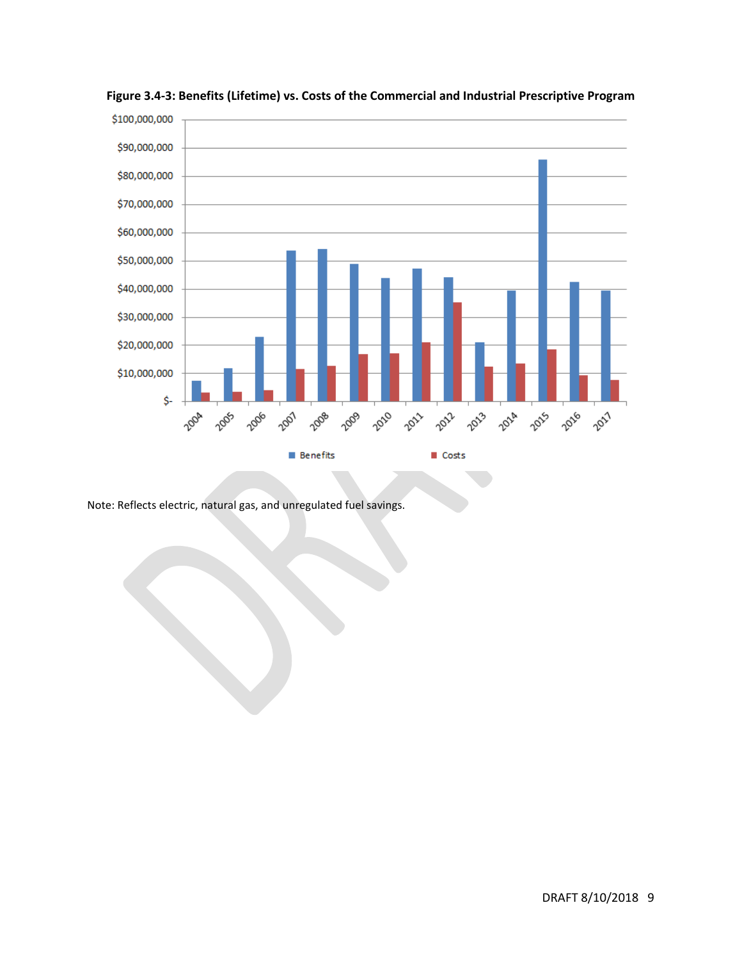

**Figure 3.4-3: Benefits (Lifetime) vs. Costs of the Commercial and Industrial Prescriptive Program** 

Note: Reflects electric, natural gas, and unregulated fuel savings.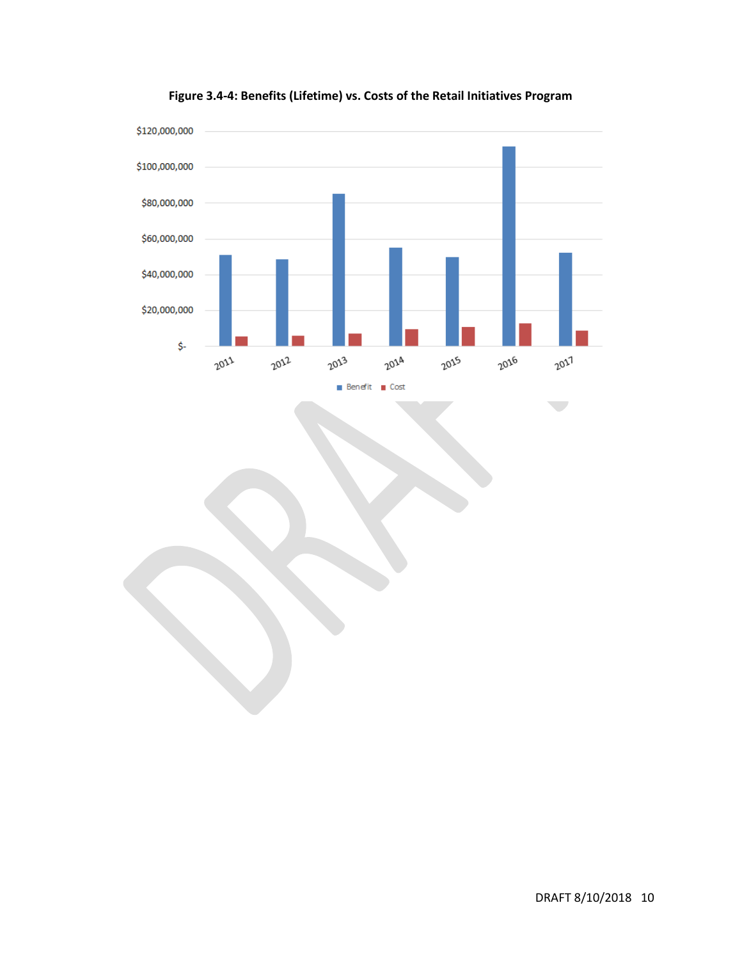

**Figure 3.4-4: Benefits (Lifetime) vs. Costs of the Retail Initiatives Program**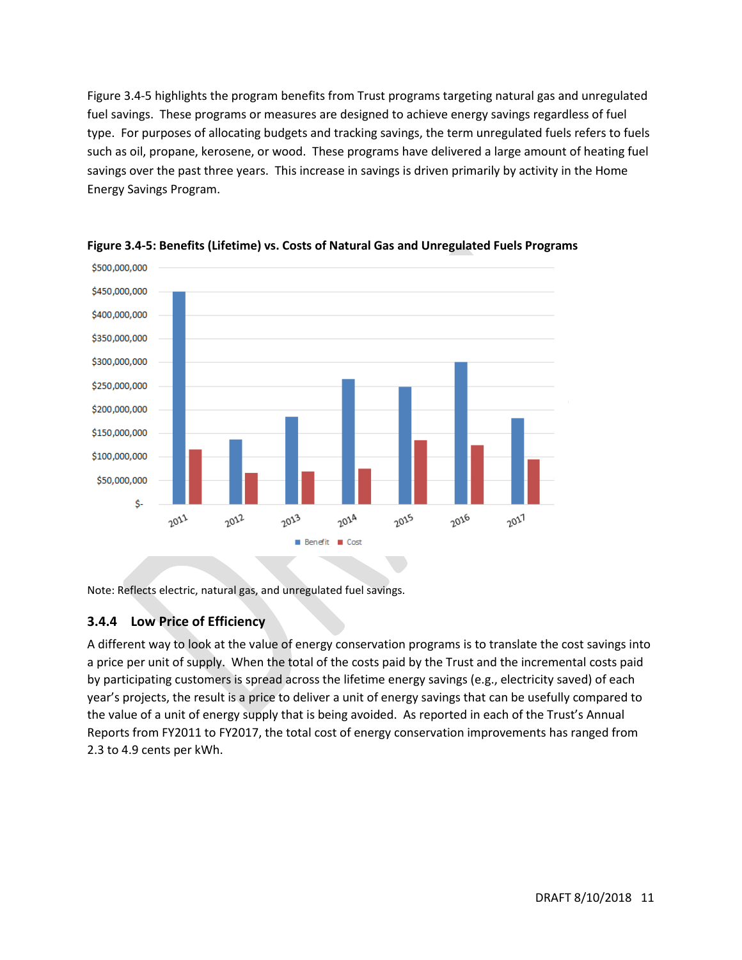Figure 3.4-5 highlights the program benefits from Trust programs targeting natural gas and unregulated fuel savings. These programs or measures are designed to achieve energy savings regardless of fuel type. For purposes of allocating budgets and tracking savings, the term unregulated fuels refers to fuels such as oil, propane, kerosene, or wood. These programs have delivered a large amount of heating fuel savings over the past three years. This increase in savings is driven primarily by activity in the Home Energy Savings Program.



**Figure 3.4-5: Benefits (Lifetime) vs. Costs of Natural Gas and Unregulated Fuels Programs**

Note: Reflects electric, natural gas, and unregulated fuel savings.

#### **3.4.4 Low Price of Efficiency**

A different way to look at the value of energy conservation programs is to translate the cost savings into a price per unit of supply. When the total of the costs paid by the Trust and the incremental costs paid by participating customers is spread across the lifetime energy savings (e.g., electricity saved) of each year's projects, the result is a price to deliver a unit of energy savings that can be usefully compared to the value of a unit of energy supply that is being avoided. As reported in each of the Trust's Annual Reports from FY2011 to FY2017, the total cost of energy conservation improvements has ranged from 2.3 to 4.9 cents per kWh.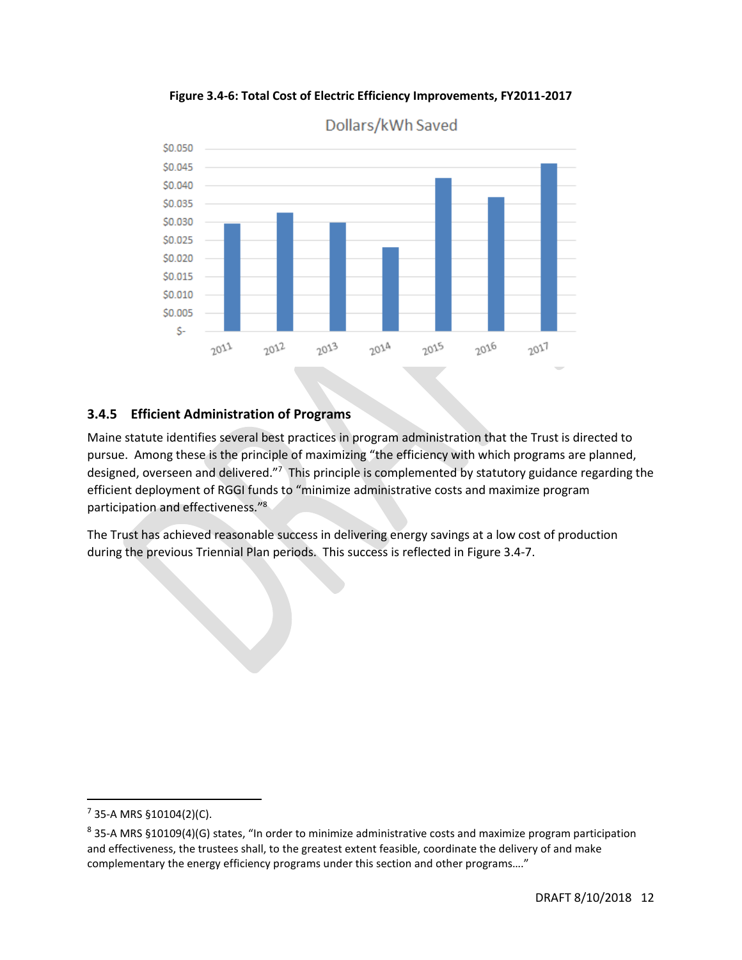

**Figure 3.4-6: Total Cost of Electric Efficiency Improvements, FY2011-2017**

### **3.4.5 Efficient Administration of Programs**

Maine statute identifies several best practices in program administration that the Trust is directed to pursue. Among these is the principle of maximizing "the efficiency with which programs are planned, designed, overseen and delivered."<sup>7</sup> This principle is complemented by statutory guidance regarding the efficient deployment of RGGI funds to "minimize administrative costs and maximize program participation and effectiveness."<sup>8</sup>

The Trust has achieved reasonable success in delivering energy savings at a low cost of production during the previous Triennial Plan periods. This success is reflected in Figure 3.4-7.

 $\overline{a}$ 

 $7$  35-A MRS §10104(2)(C).

 $^8$  35-A MRS §10109(4)(G) states, "In order to minimize administrative costs and maximize program participation and effectiveness, the trustees shall, to the greatest extent feasible, coordinate the delivery of and make complementary the energy efficiency programs under this section and other programs…."